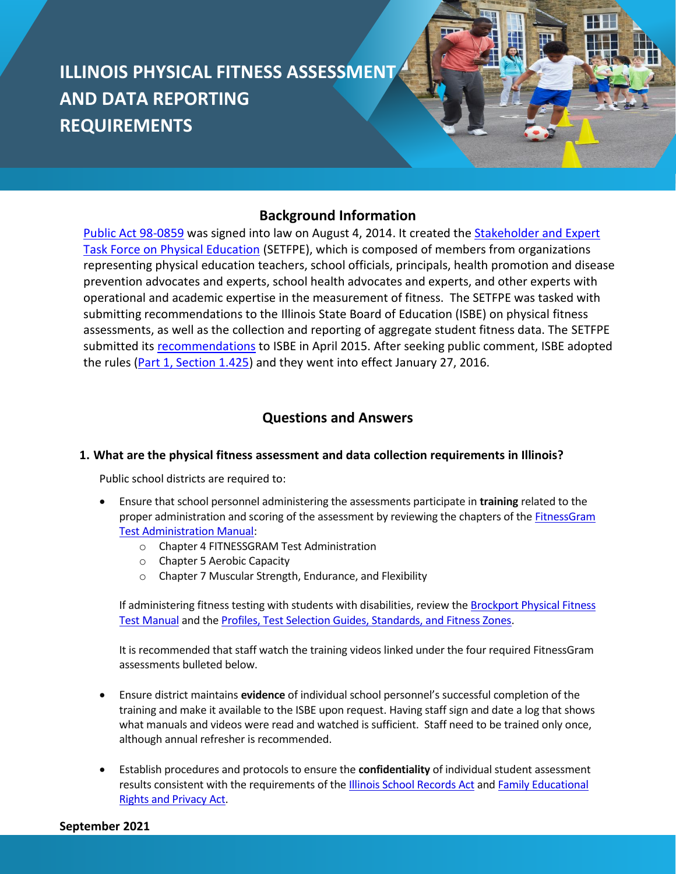# **ILLINOIS PHYSICAL FITNESS ASSESSMENT AND DATA REPORTING REQUIREMENTS**

# **Background Information**

[Public Act 98-0859](http://www.ilga.gov/legislation/publicacts/98/PDF/098-0859.pdf) was signed into law on August 4, 2014. It created the [Stakeholder and Expert](https://www.isbe.net/Pages/Stakeholder-and-Expert-Task-Force-on-Physical-Education.aspx)  [Task Force on Physical Education](https://www.isbe.net/Pages/Stakeholder-and-Expert-Task-Force-on-Physical-Education.aspx) (SETFPE), which is composed of members from organizations representing physical education teachers, school officials, principals, health promotion and disease prevention advocates and experts, school health advocates and experts, and other experts with operational and academic expertise in the measurement of fitness. The SETFPE was tasked with submitting recommendations to the Illinois State Board of Education (ISBE) on physical fitness assessments, as well as the collection and reporting of aggregate student fitness data. The SETFPE submitted its [recommendations](https://www.isbe.net/Documents/setfpe-report-040115.pdf) to ISBE in April 2015. After seeking public comment, ISBE adopted the rules [\(Part 1, Section 1.425\)](https://www.ilga.gov/commission/jcar/admincode/023/023000010D04250R.html) and they went into effect January 27, 2016.

# **Questions and Answers**

# **1. What are the physical fitness assessment and data collection requirements in Illinois?**

Public school districts are required to:

- Ensure that school personnel administering the assessments participate in **training** related to the proper administration and scoring of the assessment by reviewing the chapters of th[e FitnessGram](https://dl.icdst.org/pdfs/files/2801e301e713d36f204bd16b56d7055b.pdf)  [Test Administration Manual:](https://dl.icdst.org/pdfs/files/2801e301e713d36f204bd16b56d7055b.pdf)
	- o Chapter 4 FITNESSGRAM Test Administration
	- o Chapter 5 Aerobic Capacity
	- o Chapter 7 Muscular Strength, Endurance, and Flexibility

If administering fitness testing with students with disabilities, review th[e Brockport Physical Fitness](https://pyfp.org/storage/app/media/documents/brockport/brockport-ch5.pdf)  [Test Manual](https://pyfp.org/storage/app/media/documents/brockport/brockport-ch5.pdf) and th[e Profiles, Test Selection Guides, Standards, and Fitness Zones.](https://www.pyfp.org/storage/app/media/documents/brockport/brockport-ch4.pdf)

It is recommended that staff watch the training videos linked under the four required FitnessGram assessments bulleted below.

- Ensure district maintains **evidence** of individual school personnel's successful completion of the training and make it available to the ISBE upon request. Having staff sign and date a log that shows what manuals and videos were read and watched is sufficient. Staff need to be trained only once, although annual refresher is recommended.
- Establish procedures and protocols to ensure the **confidentiality** of individual student assessment results consistent with the requirements of the [Illinois School Records Act](https://www.ilga.gov/legislation/ilcs/ilcs3.asp?ActID=1006&ChapterID=17) and Family Educational [Rights and Privacy Act.](https://www2.ed.gov/policy/gen/guid/fpco/ferpa/index.html)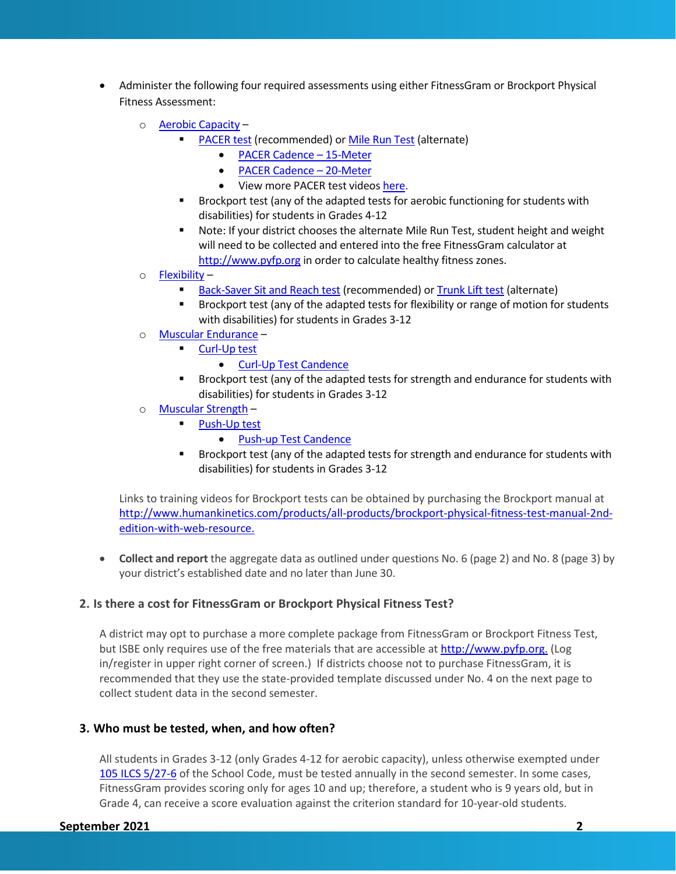- Administer the following four required assessments using either FitnessGram or Brockport Physical Fitness Assessment:
	- o [Aerobic Capacity](https://fitnessgram.net/assessment/)
		- [PACER test](https://www.youtube.com/watch?v=NuHkSCuap2A&list=PLsSPvLQWZsbtex-up2Rfj8gtSbGc1Dzsm&index=3) (recommended) o[r Mile Run Test](https://www.youtube.com/watch?v=snAwCP4ytUU) (alternate)
			- [PACER Cadence](https://www.youtube.com/watch?app=desktop&v=74xzGfBRhS0&list=PLsSPvLQWZsbu6-Fx1CbYtPYpcVt_-PMgP&index=2)  15-Meter
			- [PACER Cadence](https://www.youtube.com/watch?v=7YhHg1wwa1I)  20-Meter
			- View more PACER test videos [here.](https://www.youtube.com/playlist?list=PLsSPvLQWZsbu6-Fx1CbYtPYpcVt_-PMgP)
		- Brockport test (any of the adapted tests for aerobic functioning for students with disabilities) for students in Grades 4-12
		- Note: If your district chooses the alternate Mile Run Test, student height and weight will need to be collected and entered into the free FitnessGram calculator at [http://www.pyfp.org](http://www.pyfp.org/) in order to calculate healthy fitness zones.
	- $\circ$  [Flexibility](https://fitnessgram.net/assessment/)
		- **[Back-Saver Sit and Reach test](https://www.youtube.com/watch?v=T2LzgbHXbUI&list=PLsSPvLQWZsbtex-up2Rfj8gtSbGc1Dzsm&index=8) (recommended) or [Trunk Lift test](https://www.youtube.com/watch?v=SPq7CW9nqu0) (alternate)**
		- Brockport test (any of the adapted tests for flexibility or range of motion for students with disabilities) for students in Grades 3-12
	- o [Muscular Endurance](https://fitnessgram.net/assessment/)
		- [Curl-Up test](https://www.youtube.com/watch?v=zKH6cMKHRqY)
			- [Curl-Up Test Candence](https://www.youtube.com/watch?v=RW6OssVmJBI)
		- Brockport test (any of the adapted tests for strength and endurance for students with disabilities) for students in Grades 3-12
	- o [Muscular Strength](https://fitnessgram.net/assessment/)
		- [Push-Up test](https://www.youtube.com/watch?v=ZEleua7BX80)
			- [Push-up Test Candence](https://www.youtube.com/watch?v=bpfPe5OvSH4)
		- Brockport test (any of the adapted tests for strength and endurance for students with disabilities) for students in Grades 3-12

Links to training videos for Brockport tests can be obtained by purchasing the Brockport manual at [http://www.humankinetics.com/products/all-products/brockport-physical-fitness-test-manual-2nd](http://www.humankinetics.com/products/all-products/brockport-physical-fitness-test-manual-2nd-edition-with-web-resource)[edition-with-web-resource.](http://www.humankinetics.com/products/all-products/brockport-physical-fitness-test-manual-2nd-edition-with-web-resource)

• **Collect and report** the aggregate data as outlined under questions No. 6 (page 2) and No. 8 (page 3) by your district's established date and no later than June 30.

# **2. Is there a cost for FitnessGram or Brockport Physical Fitness Test?**

A district may opt to purchase a more complete package from FitnessGram or Brockport Fitness Test, but ISBE only requires use of the free materials that are accessible at [http://www.pyfp.org.](http://www.pyfp.org/) (Log in/register in upper right corner of screen.) If districts choose not to purchase FitnessGram, it is recommended that they use the state-provided template discussed under No. 4 on the next page to collect student data in the second semester.

#### **3. Who must be tested, when, and how often?**

All students in Grades 3-12 (only Grades 4-12 for aerobic capacity), unless otherwise exempted under [105 ILCS 5/27-6](https://www.ilga.gov/legislation/ilcs/fulltext.asp?DocName=010500050K27-6) of the School Code, must be tested annually in the second semester. In some cases, FitnessGram provides scoring only for ages 10 and up; therefore, a student who is 9 years old, but in Grade 4, can receive a score evaluation against the criterion standard for 10-year-old students.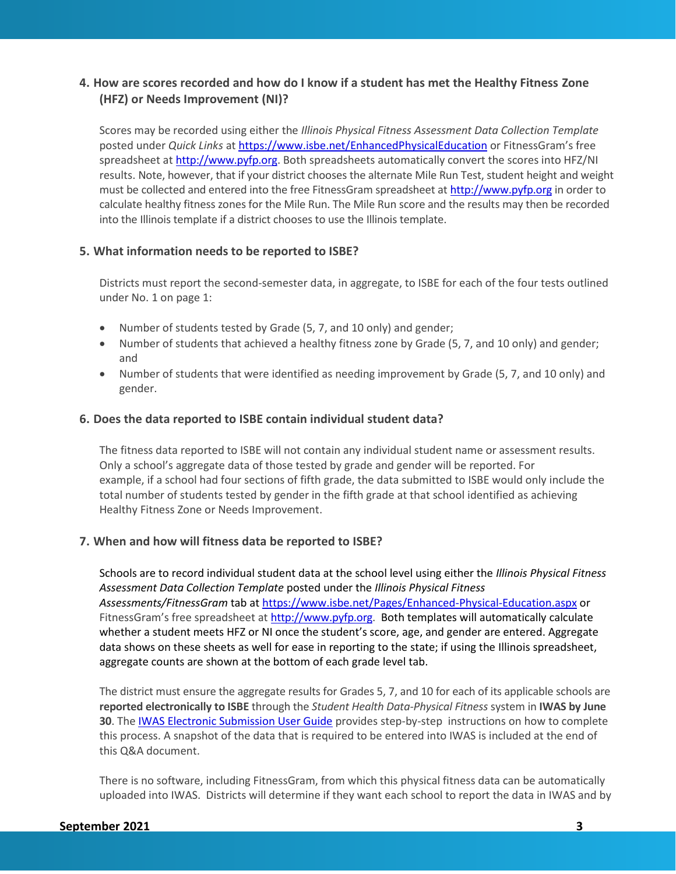# **4. How are scores recorded and how do I know if a student has met the Healthy Fitness Zone (HFZ) or Needs Improvement (NI)?**

Scores may be recorded using either the *Illinois Physical Fitness Assessment Data Collection Template* posted under *Quick Links* at<https://www.isbe.net/EnhancedPhysicalEducation> or FitnessGram's free spreadsheet at [http://www.pyfp.org.](http://www.pyfp.org/) Both spreadsheets automatically convert the scores into HFZ/NI results. Note, however, that if your district chooses the alternate Mile Run Test, student height and weight must be collected and entered into the free FitnessGram spreadsheet at [http://www.pyfp.org](http://www.pyfp.org/) in order to calculate healthy fitness zones for the Mile Run. The Mile Run score and the results may then be recorded into the Illinois template if a district chooses to use the Illinois template.

## **5. What information needs to be reported to ISBE?**

Districts must report the second-semester data, in aggregate, to ISBE for each of the four tests outlined under No. 1 on page 1:

- Number of students tested by Grade (5, 7, and 10 only) and gender;
- Number of students that achieved a healthy fitness zone by Grade (5, 7, and 10 only) and gender; and
- Number of students that were identified as needing improvement by Grade (5, 7, and 10 only) and gender.

## **6. Does the data reported to ISBE contain individual student data?**

The fitness data reported to ISBE will not contain any individual student name or assessment results. Only a school's aggregate data of those tested by grade and gender will be reported. For example, if a school had four sections of fifth grade, the data submitted to ISBE would only include the total number of students tested by gender in the fifth grade at that school identified as achieving Healthy Fitness Zone or Needs Improvement.

# **7. When and how will fitness data be reported to ISBE?**

Schools are to record individual student data at the school level using either the *Illinois Physical Fitness Assessment Data Collection Template* posted under the *Illinois Physical Fitness Assessments/FitnessGram* tab a[t https://www.isbe.net/Pages/Enhanced-Physical-Education.aspx](https://www.isbe.net/Pages/Enhanced-Physical-Education.aspx) or FitnessGram's free spreadsheet at [http://www.pyfp.org.](http://www.pyfp.org/) Both templates will automatically calculate whether a student meets HFZ or NI once the student's score, age, and gender are entered. Aggregate data shows on these sheets as well for ease in reporting to the state; if using the Illinois spreadsheet, aggregate counts are shown at the bottom of each grade level tab.

The district must ensure the aggregate results for Grades 5, 7, and 10 for each of its applicable schools are **reported electronically to ISBE** through the *Student Health Data-Physical Fitness* system in **IWAS by June 30**. The [IWAS Electronic Submission User Guide](https://www.isbe.net/Documents/PhysicalFitness_IWAS_User_Guide.PDF) provides step-by-step instructions on how to complete this process. A snapshot of the data that is required to be entered into IWAS is included at the end of this Q&A document.

There is no software, including FitnessGram, from which this physical fitness data can be automatically uploaded into IWAS. Districts will determine if they want each school to report the data in IWAS and by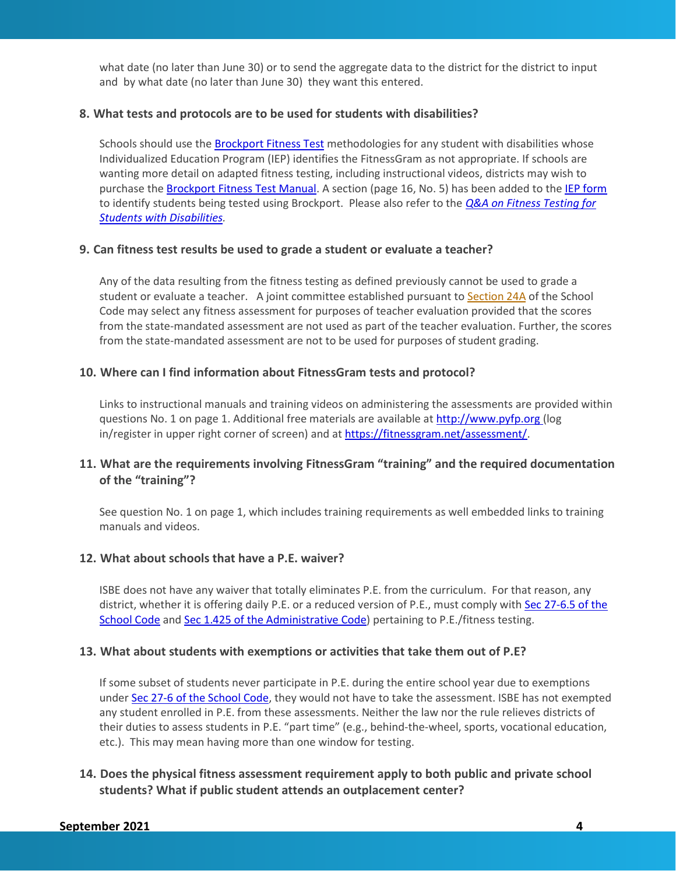what date (no later than June 30) or to send the aggregate data to the district for the district to input and by what date (no later than June 30) they want this entered.

#### **8. What tests and protocols are to be used for students with disabilities?**

Schools should use the **Brockport Fitness Test** methodologies for any student with disabilities whose Individualized Education Program (IEP) identifies the FitnessGram as not appropriate. If schools are wanting more detail on adapted fitness testing, including instructional videos, districts may wish to purchase the [Brockport Fitness Test Manual.](http://www.humankinetics.com/products/all-products/brockport-physical-fitness-test-manual-2nd-edition-with-web-resource) A section (page 16, No. 5) has been added to th[e IEP form](https://www.isbe.net/Pages/Special-Education-Individualized-Education-Program.aspx) to identify students being tested using Brockport. Please also refer to the *[Q&A on Fitness Testing for](https://www.isbe.net/Documents/brockport-faq.pdf)  [Students with Disabilities.](https://www.isbe.net/Documents/brockport-faq.pdf)*

#### **9. Can fitness test results be used to grade a student or evaluate a teacher?**

Any of the data resulting from the fitness testing as defined previously cannot be used to grade a student or evaluate a teacher. A joint committee established pursuant to [Section 24A](https://ilga.gov/legislation/ilcs/fulltext.asp?DocName=010500050K24A-5) of the School Code may select any fitness assessment for purposes of teacher evaluation provided that the scores from the state-mandated assessment are not used as part of the teacher evaluation. Further, the scores from the state-mandated assessment are not to be used for purposes of student grading.

#### **10. Where can I find information about FitnessGram tests and protocol?**

Links to instructional manuals and training videos on administering the assessments are provided within questions No. 1 on page 1. Additional free materials are available at [http://www.pyfp.org](http://www.pyfp.org/resource-library/index.shtml) (log in/register in upper right corner of screen) and at [https://fitnessgram.net/assessment/.](https://fitnessgram.net/assessment/)

# **11. What are the requirements involving FitnessGram "training" and the required documentation of the "training"?**

See question No. 1 on page 1, which includes training requirements as well embedded links to training manuals and videos.

# **12. What about schools that have a P.E. waiver?**

ISBE does not have any waiver that totally eliminates P.E. from the curriculum. For that reason, any district, whether it is offering daily P.E. or a reduced version of P.E., must comply with [Sec 27-6.5 of the](https://www.ilga.gov/legislation/ilcs/fulltext.asp?DocName=010500050K27-6.5)  [School Code](https://www.ilga.gov/legislation/ilcs/fulltext.asp?DocName=010500050K27-6.5) and [Sec 1.425 of the Administrative Code\)](https://www.ilga.gov/commission/jcar/admincode/023/023000010D04250R.html) pertaining to P.E./fitness testing.

#### **13. What about students with exemptions or activities that take them out of P.E?**

If some subset of students never participate in P.E. during the entire school year due to exemptions under [Sec 27-6 of the School Code,](https://www.ilga.gov/legislation/ilcs/fulltext.asp?DocName=010500050K27-6) they would not have to take the assessment. ISBE has not exempted any student enrolled in P.E. from these assessments. Neither the law nor the rule relieves districts of their duties to assess students in P.E. "part time" (e.g., behind-the-wheel, sports, vocational education, etc.). This may mean having more than one window for testing.

# **14. Does the physical fitness assessment requirement apply to both public and private school students? What if public student attends an outplacement center?**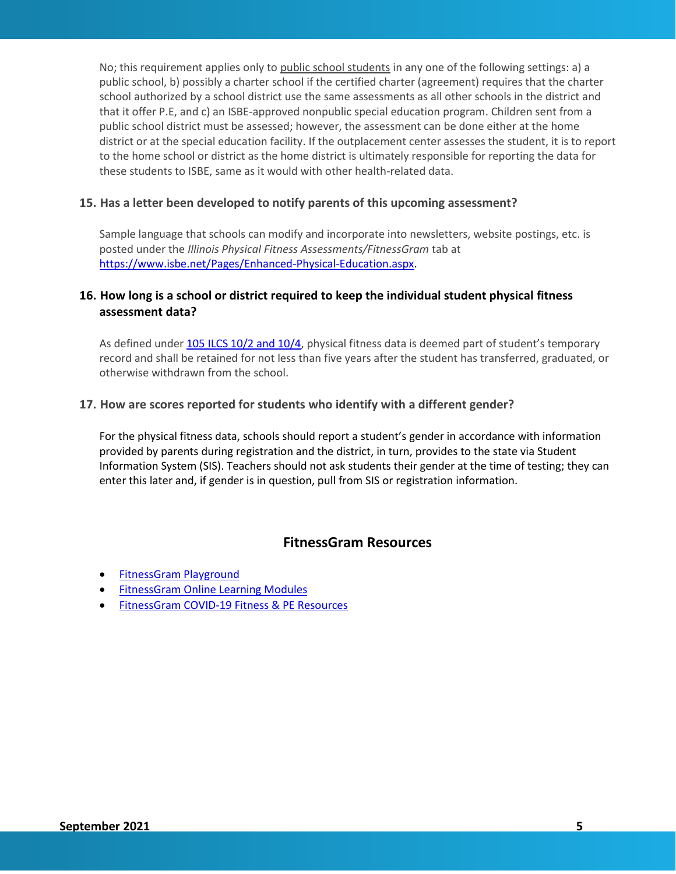No; this requirement applies only to public school students in any one of the following settings: a) a public school, b) possibly a charter school if the certified charter (agreement) requires that the charter school authorized by a school district use the same assessments as all other schools in the district and that it offer P.E, and c) an ISBE-approved nonpublic special education program. Children sent from a public school district must be assessed; however, the assessment can be done either at the home district or at the special education facility. If the outplacement center assesses the student, it is to report to the home school or district as the home district is ultimately responsible for reporting the data for these students to ISBE, same as it would with other health-related data.

## **15. Has a letter been developed to notify parents of this upcoming assessment?**

Sample language that schools can modify and incorporate into newsletters, website postings, etc. is posted under the *Illinois Physical Fitness Assessments/FitnessGram* tab at [https://www.isbe.net/Pages/Enhanced-Physical-Education.aspx.](https://www.isbe.net/Pages/Enhanced-Physical-Education.aspx)

# **16. How long is a school or district required to keep the individual student physical fitness assessment data?**

As defined under [105 ILCS 10/2 and 10/4](http://www.ilga.gov/legislation/ilcs/ilcs3.asp?ActID=1006&ChapterID=17), physical fitness data is deemed part of student's temporary record and shall be retained for not less than five years after the student has transferred, graduated, or otherwise withdrawn from the school.

#### **17. How are scores reported for students who identify with a different gender?**

For the physical fitness data, schools should report a student's gender in accordance with information provided by parents during registration and the district, in turn, provides to the state via Student Information System (SIS). Teachers should not ask students their gender at the time of testing; they can enter this later and, if gender is in question, pull from SIS or registration information.

# **FitnessGram Resources**

- [FitnessGram Playground](https://fitnessgram.net/playground/)
- [FitnessGram Online Learning Modules](https://fitnessgram.net/onlinelearning/)
- [FitnessGram COVID-19 Fitness & PE Resources](https://fitnessgram.net/covid19-resources/)